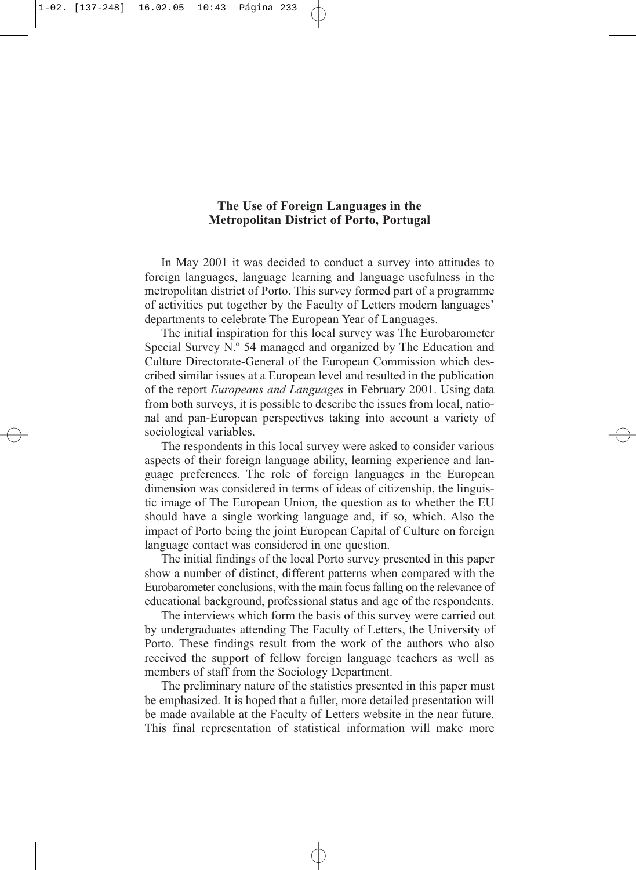# **The Use of Foreign Languages in the Metropolitan District of Porto, Portugal**

In May 2001 it was decided to conduct a survey into attitudes to foreign languages, language learning and language usefulness in the metropolitan district of Porto. This survey formed part of a programme of activities put together by the Faculty of Letters modern languages' departments to celebrate The European Year of Languages.

The initial inspiration for this local survey was The Eurobarometer Special Survey N.º 54 managed and organized by The Education and Culture Directorate-General of the European Commission which described similar issues at a European level and resulted in the publication of the report *Europeans and Languages* in February 2001. Using data from both surveys, it is possible to describe the issues from local, national and pan-European perspectives taking into account a variety of sociological variables.

The respondents in this local survey were asked to consider various aspects of their foreign language ability, learning experience and language preferences. The role of foreign languages in the European dimension was considered in terms of ideas of citizenship, the linguistic image of The European Union, the question as to whether the EU should have a single working language and, if so, which. Also the impact of Porto being the joint European Capital of Culture on foreign language contact was considered in one question.

The initial findings of the local Porto survey presented in this paper show a number of distinct, different patterns when compared with the Eurobarometer conclusions, with the main focus falling on the relevance of educational background, professional status and age of the respondents.

The interviews which form the basis of this survey were carried out by undergraduates attending The Faculty of Letters, the University of Porto. These findings result from the work of the authors who also received the support of fellow foreign language teachers as well as members of staff from the Sociology Department.

The preliminary nature of the statistics presented in this paper must be emphasized. It is hoped that a fuller, more detailed presentation will be made available at the Faculty of Letters website in the near future. This final representation of statistical information will make more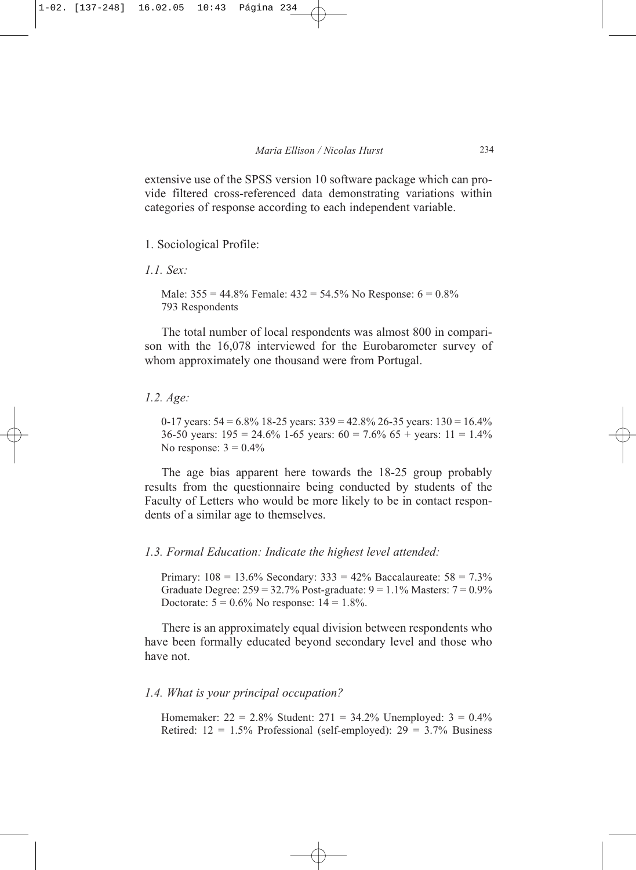extensive use of the SPSS version 10 software package which can provide filtered cross-referenced data demonstrating variations within categories of response according to each independent variable.

#### 1. Sociological Profile:

*1.1. Sex:*

Male:  $355 = 44.8\%$  Female:  $432 = 54.5\%$  No Response:  $6 = 0.8\%$ 793 Respondents

The total number of local respondents was almost 800 in comparison with the 16,078 interviewed for the Eurobarometer survey of whom approximately one thousand were from Portugal.

#### *1.2. Age:*

0-17 years:  $54 = 6.8\%$  18-25 years:  $339 = 42.8\%$  26-35 years:  $130 = 16.4\%$ 36-50 years:  $195 = 24.6\%$  1-65 years:  $60 = 7.6\%$  65 + years:  $11 = 1.4\%$ No response:  $3 = 0.4\%$ 

The age bias apparent here towards the 18-25 group probably results from the questionnaire being conducted by students of the Faculty of Letters who would be more likely to be in contact respondents of a similar age to themselves.

#### *1.3. Formal Education: Indicate the highest level attended:*

Primary:  $108 = 13.6\%$  Secondary:  $333 = 42\%$  Baccalaureate:  $58 = 7.3\%$ Graduate Degree:  $259 = 32.7\%$  Post-graduate:  $9 = 1.1\%$  Masters:  $7 = 0.9\%$ Doctorate:  $5 = 0.6\%$  No response:  $14 = 1.8\%$ .

There is an approximately equal division between respondents who have been formally educated beyond secondary level and those who have not.

#### *1.4. What is your principal occupation?*

Homemaker:  $22 = 2.8\%$  Student:  $271 = 34.2\%$  Unemployed:  $3 = 0.4\%$ Retired:  $12 = 1.5\%$  Professional (self-employed):  $29 = 3.7\%$  Business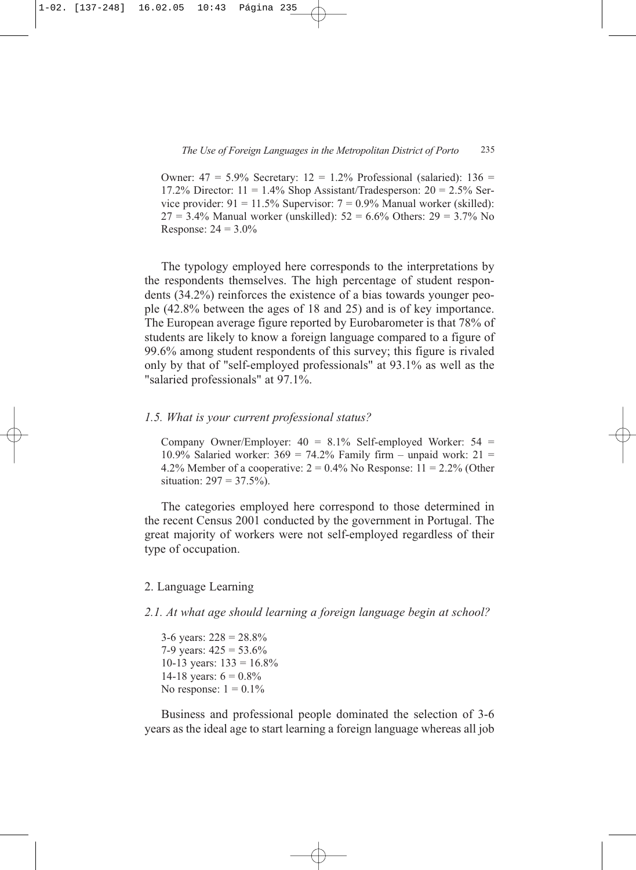Owner:  $47 = 5.9\%$  Secretary:  $12 = 1.2\%$  Professional (salaried):  $136 =$ 17.2% Director:  $11 = 1.4\%$  Shop Assistant/Tradesperson:  $20 = 2.5\%$  Service provider:  $91 = 11.5\%$  Supervisor:  $7 = 0.9\%$  Manual worker (skilled):  $27 = 3.4\%$  Manual worker (unskilled):  $52 = 6.6\%$  Others:  $29 = 3.7\%$  No Response:  $24 = 3.0\%$ 

The typology employed here corresponds to the interpretations by the respondents themselves. The high percentage of student respondents (34.2%) reinforces the existence of a bias towards younger people (42.8% between the ages of 18 and 25) and is of key importance. The European average figure reported by Eurobarometer is that 78% of students are likely to know a foreign language compared to a figure of 99.6% among student respondents of this survey; this figure is rivaled only by that of "self-employed professionals" at 93.1% as well as the "salaried professionals" at 97.1%.

#### *1.5. What is your current professional status?*

Company Owner/Employer:  $40 = 8.1\%$  Self-employed Worker:  $54 =$ 10.9% Salaried worker:  $369 = 74.2\%$  Family firm – unpaid work:  $21 =$ 4.2% Member of a cooperative:  $2 = 0.4\%$  No Response:  $11 = 2.2\%$  (Other situation:  $297 = 37.5\%$ ).

The categories employed here correspond to those determined in the recent Census 2001 conducted by the government in Portugal. The great majority of workers were not self-employed regardless of their type of occupation.

#### 2. Language Learning

*2.1. At what age should learning a foreign language begin at school?*

3-6 years:  $228 = 28.8\%$ 7-9 years:  $425 = 53.6\%$ 10-13 years:  $133 = 16.8\%$ 14-18 years:  $6 = 0.8\%$ No response:  $1 = 0.1\%$ 

Business and professional people dominated the selection of 3-6 years as the ideal age to start learning a foreign language whereas all job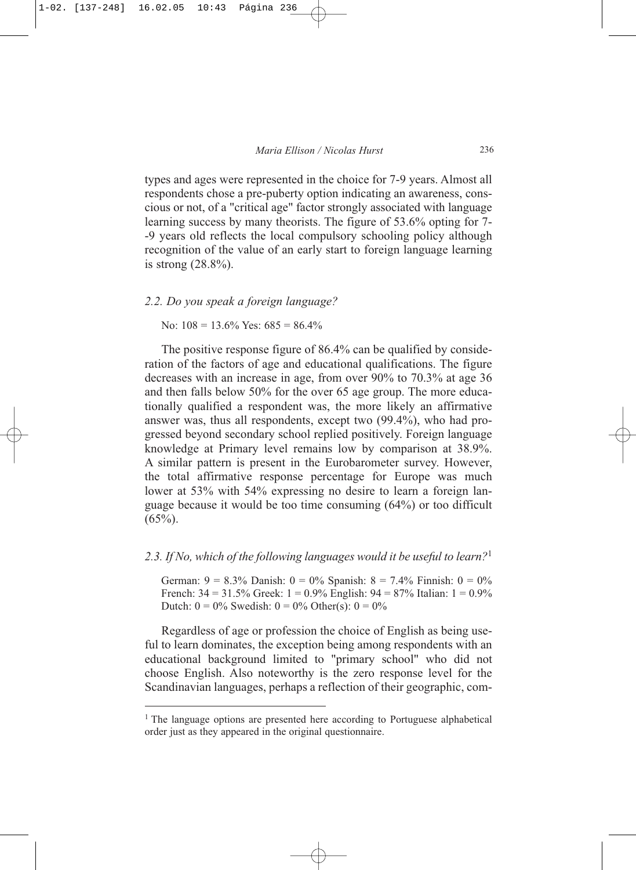types and ages were represented in the choice for 7-9 years. Almost all respondents chose a pre-puberty option indicating an awareness, conscious or not, of a "critical age" factor strongly associated with language learning success by many theorists. The figure of 53.6% opting for 7- -9 years old reflects the local compulsory schooling policy although recognition of the value of an early start to foreign language learning is strong (28.8%).

#### *2.2. Do you speak a foreign language?*

No:  $108 = 13.6\%$  Yes:  $685 = 86.4\%$ 

The positive response figure of 86.4% can be qualified by consideration of the factors of age and educational qualifications. The figure decreases with an increase in age, from over 90% to 70.3% at age 36 and then falls below 50% for the over 65 age group. The more educationally qualified a respondent was, the more likely an affirmative answer was, thus all respondents, except two (99.4%), who had progressed beyond secondary school replied positively. Foreign language knowledge at Primary level remains low by comparison at 38.9%. A similar pattern is present in the Eurobarometer survey. However, the total affirmative response percentage for Europe was much lower at 53% with 54% expressing no desire to learn a foreign language because it would be too time consuming (64%) or too difficult  $(65\%)$ .

# *2.3. If No, which of the following languages would it be useful to learn?*<sup>1</sup>

German:  $9 = 8.3\%$  Danish:  $0 = 0\%$  Spanish:  $8 = 7.4\%$  Finnish:  $0 = 0\%$ French:  $34 = 31.5\%$  Greek:  $1 = 0.9\%$  English:  $94 = 87\%$  Italian:  $1 = 0.9\%$ Dutch:  $0 = 0\%$  Swedish:  $0 = 0\%$  Other(s):  $0 = 0\%$ 

Regardless of age or profession the choice of English as being useful to learn dominates, the exception being among respondents with an educational background limited to "primary school" who did not choose English. Also noteworthy is the zero response level for the Scandinavian languages, perhaps a reflection of their geographic, com-

<sup>&</sup>lt;sup>1</sup> The language options are presented here according to Portuguese alphabetical order just as they appeared in the original questionnaire.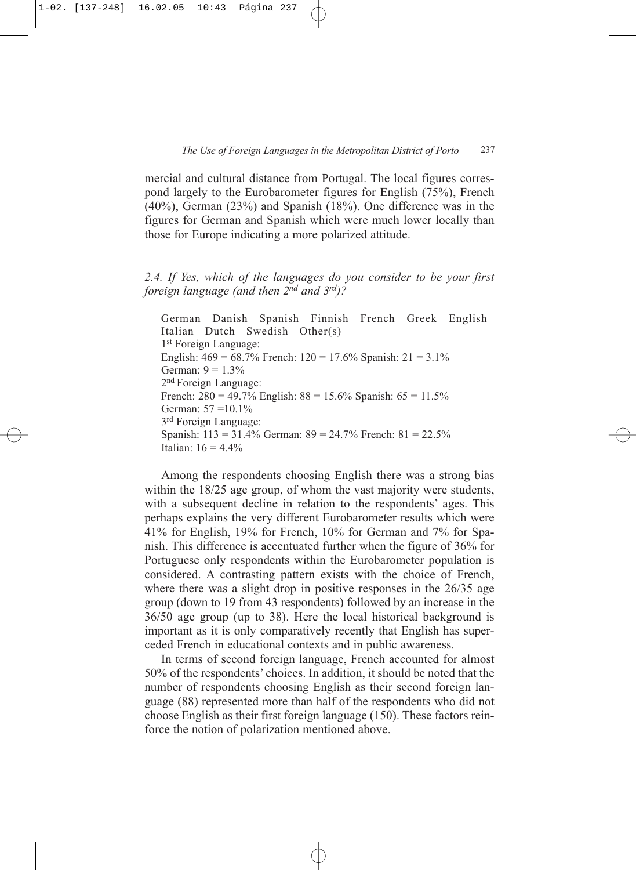mercial and cultural distance from Portugal. The local figures correspond largely to the Eurobarometer figures for English (75%), French (40%), German (23%) and Spanish (18%). One difference was in the figures for German and Spanish which were much lower locally than those for Europe indicating a more polarized attitude.

*2.4. If Yes, which of the languages do you consider to be your first foreign language (and then 2nd and 3rd)?*

German Danish Spanish Finnish French Greek English Italian Dutch Swedish Other(s) 1<sup>st</sup> Foreign Language: English:  $469 = 68.7\%$  French:  $120 = 17.6\%$  Spanish:  $21 = 3.1\%$ German:  $9 = 1.3\%$ 2nd Foreign Language: French:  $280 = 49.7\%$  English:  $88 = 15.6\%$  Spanish:  $65 = 11.5\%$ German: 57 = 10.1% 3rd Foreign Language: Spanish: 113 = 31.4% German: 89 = 24.7% French: 81 = 22.5% Italian:  $16 = 4.4\%$ 

Among the respondents choosing English there was a strong bias within the 18/25 age group, of whom the vast majority were students, with a subsequent decline in relation to the respondents' ages. This perhaps explains the very different Eurobarometer results which were 41% for English, 19% for French, 10% for German and 7% for Spanish. This difference is accentuated further when the figure of 36% for Portuguese only respondents within the Eurobarometer population is considered. A contrasting pattern exists with the choice of French, where there was a slight drop in positive responses in the 26/35 age group (down to 19 from 43 respondents) followed by an increase in the 36/50 age group (up to 38). Here the local historical background is important as it is only comparatively recently that English has superceded French in educational contexts and in public awareness.

In terms of second foreign language, French accounted for almost 50% of the respondents' choices. In addition, it should be noted that the number of respondents choosing English as their second foreign language (88) represented more than half of the respondents who did not choose English as their first foreign language (150). These factors reinforce the notion of polarization mentioned above.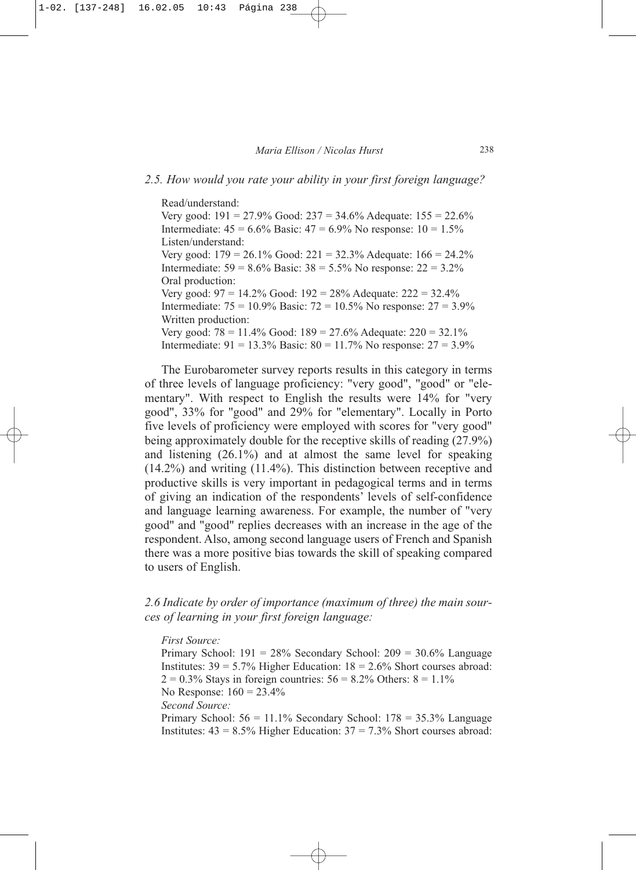#### *2.5. How would you rate your ability in your first foreign language?*

Read/understand: Very good:  $191 = 27.9\%$  Good:  $237 = 34.6\%$  Adequate:  $155 = 22.6\%$ Intermediate:  $45 = 6.6\%$  Basic:  $47 = 6.9\%$  No response:  $10 = 1.5\%$ Listen/understand: Very good:  $179 = 26.1\%$  Good:  $221 = 32.3\%$  Adequate:  $166 = 24.2\%$ Intermediate:  $59 = 8.6\%$  Basic:  $38 = 5.5\%$  No response:  $22 = 3.2\%$ Oral production: Very good: 97 = 14.2% Good: 192 = 28% Adequate: 222 = 32.4% Intermediate:  $75 = 10.9\%$  Basic:  $72 = 10.5\%$  No response:  $27 = 3.9\%$ Written production: Very good:  $78 = 11.4\%$  Good:  $189 = 27.6\%$  Adequate:  $220 = 32.1\%$ Intermediate:  $91 = 13.3\%$  Basic:  $80 = 11.7\%$  No response:  $27 = 3.9\%$ 

The Eurobarometer survey reports results in this category in terms of three levels of language proficiency: "very good", "good" or "elementary". With respect to English the results were 14% for "very good", 33% for "good" and 29% for "elementary". Locally in Porto five levels of proficiency were employed with scores for "very good" being approximately double for the receptive skills of reading (27.9%) and listening (26.1%) and at almost the same level for speaking (14.2%) and writing (11.4%). This distinction between receptive and productive skills is very important in pedagogical terms and in terms of giving an indication of the respondents' levels of self-confidence and language learning awareness. For example, the number of "very good" and "good" replies decreases with an increase in the age of the respondent. Also, among second language users of French and Spanish there was a more positive bias towards the skill of speaking compared to users of English.

*2.6 Indicate by order of importance (maximum of three) the main sources of learning in your first foreign language:*

#### *First Source:*

Primary School:  $191 = 28\%$  Secondary School:  $209 = 30.6\%$  Language Institutes:  $39 = 5.7\%$  Higher Education:  $18 = 2.6\%$  Short courses abroad:  $2 = 0.3\%$  Stays in foreign countries:  $56 = 8.2\%$  Others:  $8 = 1.1\%$ No Response: 160 = 23.4% *Second Source:* Primary School: 56 = 11.1% Secondary School: 178 = 35.3% Language

Institutes:  $43 = 8.5\%$  Higher Education:  $37 = 7.3\%$  Short courses abroad: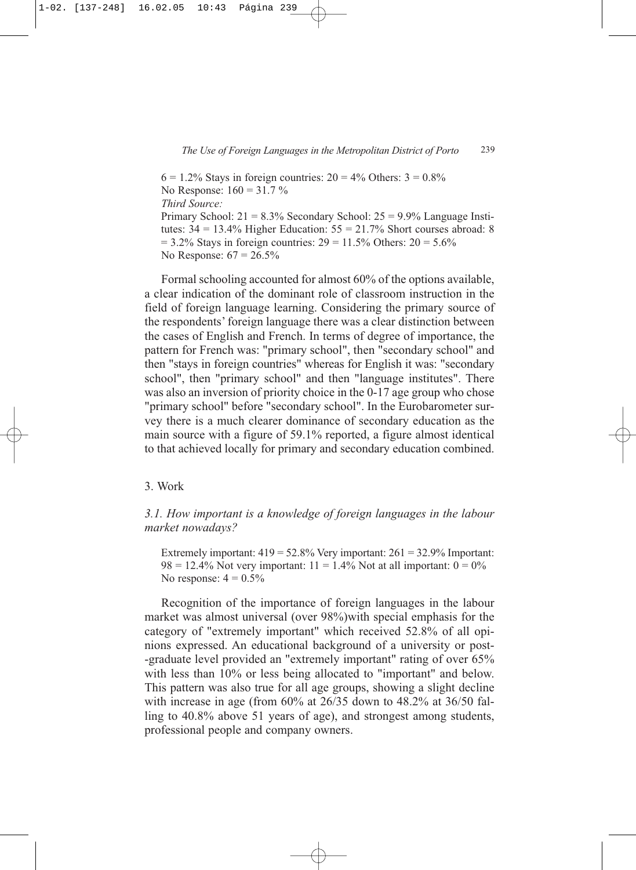$6 = 1.2\%$  Stays in foreign countries:  $20 = 4\%$  Others:  $3 = 0.8\%$ No Response:  $160 = 31.7 \%$ *Third Source:* Primary School:  $21 = 8.3\%$  Secondary School:  $25 = 9.9\%$  Language Institutes:  $34 = 13.4\%$  Higher Education:  $55 = 21.7\%$  Short courses abroad: 8  $= 3.2\%$  Stays in foreign countries:  $29 = 11.5\%$  Others:  $20 = 5.6\%$ No Response:  $67 = 26.5\%$ 

Formal schooling accounted for almost 60% of the options available, a clear indication of the dominant role of classroom instruction in the field of foreign language learning. Considering the primary source of the respondents' foreign language there was a clear distinction between the cases of English and French. In terms of degree of importance, the pattern for French was: "primary school", then "secondary school" and then "stays in foreign countries" whereas for English it was: "secondary school", then "primary school" and then "language institutes". There was also an inversion of priority choice in the 0-17 age group who chose "primary school" before "secondary school". In the Eurobarometer survey there is a much clearer dominance of secondary education as the main source with a figure of 59.1% reported, a figure almost identical to that achieved locally for primary and secondary education combined.

#### 3. Work

# *3.1. How important is a knowledge of foreign languages in the labour market nowadays?*

Extremely important:  $419 = 52.8\%$  Very important:  $261 = 32.9\%$  Important:  $98 = 12.4\%$  Not very important:  $11 = 1.4\%$  Not at all important:  $0 = 0\%$ No response:  $4 = 0.5\%$ 

Recognition of the importance of foreign languages in the labour market was almost universal (over 98%)with special emphasis for the category of "extremely important" which received 52.8% of all opinions expressed. An educational background of a university or post- -graduate level provided an "extremely important" rating of over 65% with less than 10% or less being allocated to "important" and below. This pattern was also true for all age groups, showing a slight decline with increase in age (from  $60\%$  at  $26/35$  down to  $48.2\%$  at  $36/50$  falling to 40.8% above 51 years of age), and strongest among students, professional people and company owners.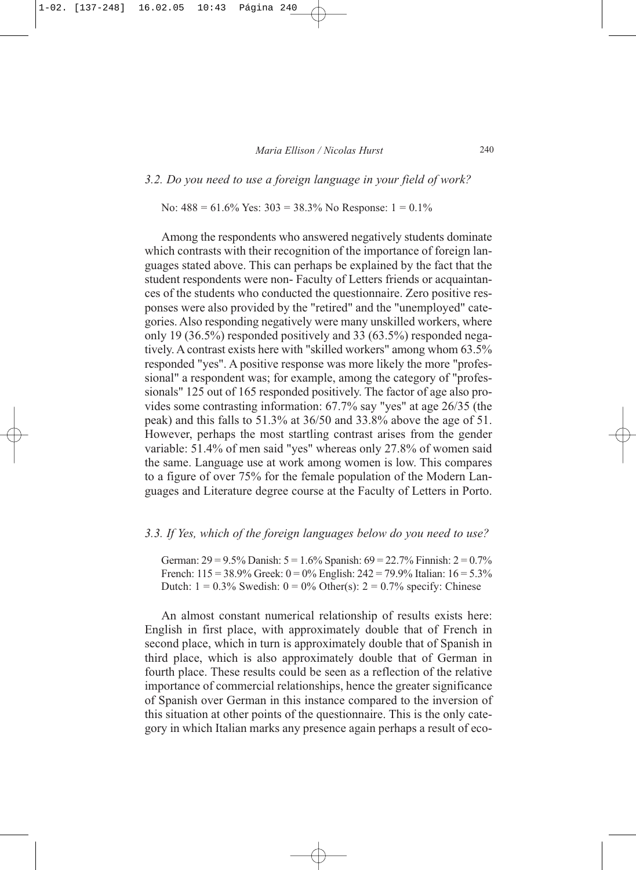*3.2. Do you need to use a foreign language in your field of work?* 

No:  $488 = 61.6\%$  Yes:  $303 = 38.3\%$  No Response:  $1 = 0.1\%$ 

Among the respondents who answered negatively students dominate which contrasts with their recognition of the importance of foreign languages stated above. This can perhaps be explained by the fact that the student respondents were non- Faculty of Letters friends or acquaintances of the students who conducted the questionnaire. Zero positive responses were also provided by the "retired" and the "unemployed" categories. Also responding negatively were many unskilled workers, where only 19 (36.5%) responded positively and 33 (63.5%) responded negatively. A contrast exists here with "skilled workers" among whom 63.5% responded "yes". A positive response was more likely the more "professional" a respondent was; for example, among the category of "professionals" 125 out of 165 responded positively. The factor of age also provides some contrasting information: 67.7% say "yes" at age 26/35 (the peak) and this falls to 51.3% at 36/50 and 33.8% above the age of 51. However, perhaps the most startling contrast arises from the gender variable: 51.4% of men said "yes" whereas only 27.8% of women said the same. Language use at work among women is low. This compares to a figure of over 75% for the female population of the Modern Languages and Literature degree course at the Faculty of Letters in Porto.

## *3.3. If Yes, which of the foreign languages below do you need to use?*

German:  $29 = 9.5\%$  Danish:  $5 = 1.6\%$  Spanish:  $69 = 22.7\%$  Finnish:  $2 = 0.7\%$ French:  $115 = 38.9\%$  Greek:  $0 = 0\%$  English:  $242 = 79.9\%$  Italian:  $16 = 5.3\%$ Dutch:  $1 = 0.3\%$  Swedish:  $0 = 0\%$  Other(s):  $2 = 0.7\%$  specify: Chinese

An almost constant numerical relationship of results exists here: English in first place, with approximately double that of French in second place, which in turn is approximately double that of Spanish in third place, which is also approximately double that of German in fourth place. These results could be seen as a reflection of the relative importance of commercial relationships, hence the greater significance of Spanish over German in this instance compared to the inversion of this situation at other points of the questionnaire. This is the only category in which Italian marks any presence again perhaps a result of eco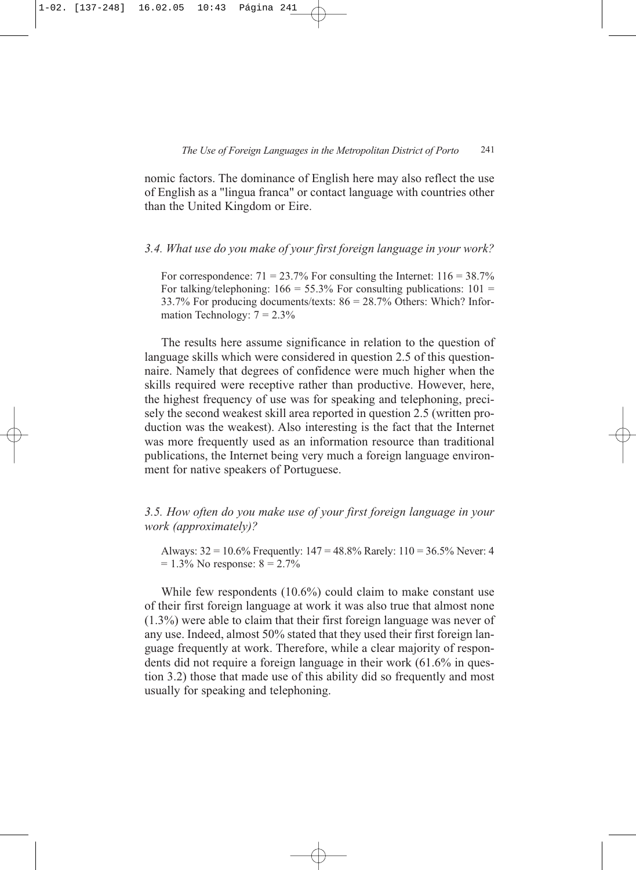nomic factors. The dominance of English here may also reflect the use of English as a "lingua franca" or contact language with countries other than the United Kingdom or Eire.

*3.4. What use do you make of your first foreign language in your work?*

For correspondence:  $71 = 23.7\%$  For consulting the Internet:  $116 = 38.7\%$ For talking/telephoning:  $166 = 55.3\%$  For consulting publications:  $101 =$ 33.7% For producing documents/texts: 86 = 28.7% Others: Which? Information Technology:  $7 = 2.3\%$ 

The results here assume significance in relation to the question of language skills which were considered in question 2.5 of this questionnaire. Namely that degrees of confidence were much higher when the skills required were receptive rather than productive. However, here, the highest frequency of use was for speaking and telephoning, precisely the second weakest skill area reported in question 2.5 (written production was the weakest). Also interesting is the fact that the Internet was more frequently used as an information resource than traditional publications, the Internet being very much a foreign language environment for native speakers of Portuguese.

*3.5. How often do you make use of your first foreign language in your work (approximately)?*

Always: 32 = 10.6% Frequently: 147 = 48.8% Rarely: 110 = 36.5% Never: 4  $= 1.3\%$  No response:  $8 = 2.7\%$ 

While few respondents (10.6%) could claim to make constant use of their first foreign language at work it was also true that almost none (1.3%) were able to claim that their first foreign language was never of any use. Indeed, almost 50% stated that they used their first foreign language frequently at work. Therefore, while a clear majority of respondents did not require a foreign language in their work (61.6% in question 3.2) those that made use of this ability did so frequently and most usually for speaking and telephoning.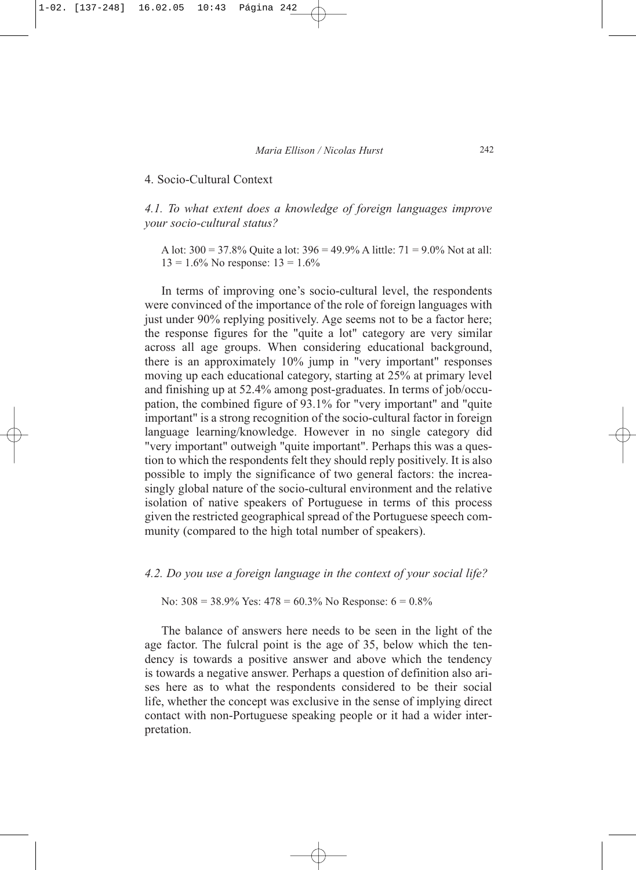### 4. Socio-Cultural Context

*4.1. To what extent does a knowledge of foreign languages improve your socio-cultural status?*

A lot:  $300 = 37.8\%$  Quite a lot:  $396 = 49.9\%$  A little:  $71 = 9.0\%$  Not at all:  $13 = 1.6\%$  No response:  $13 = 1.6\%$ 

In terms of improving one's socio-cultural level, the respondents were convinced of the importance of the role of foreign languages with just under 90% replying positively. Age seems not to be a factor here; the response figures for the "quite a lot" category are very similar across all age groups. When considering educational background, there is an approximately 10% jump in "very important" responses moving up each educational category, starting at 25% at primary level and finishing up at 52.4% among post-graduates. In terms of job/occupation, the combined figure of 93.1% for "very important" and "quite important" is a strong recognition of the socio-cultural factor in foreign language learning/knowledge. However in no single category did "very important" outweigh "quite important". Perhaps this was a question to which the respondents felt they should reply positively. It is also possible to imply the significance of two general factors: the increasingly global nature of the socio-cultural environment and the relative isolation of native speakers of Portuguese in terms of this process given the restricted geographical spread of the Portuguese speech community (compared to the high total number of speakers).

*4.2. Do you use a foreign language in the context of your social life?* 

No:  $308 = 38.9\%$  Yes:  $478 = 60.3\%$  No Response:  $6 = 0.8\%$ 

The balance of answers here needs to be seen in the light of the age factor. The fulcral point is the age of 35, below which the tendency is towards a positive answer and above which the tendency is towards a negative answer. Perhaps a question of definition also arises here as to what the respondents considered to be their social life, whether the concept was exclusive in the sense of implying direct contact with non-Portuguese speaking people or it had a wider interpretation.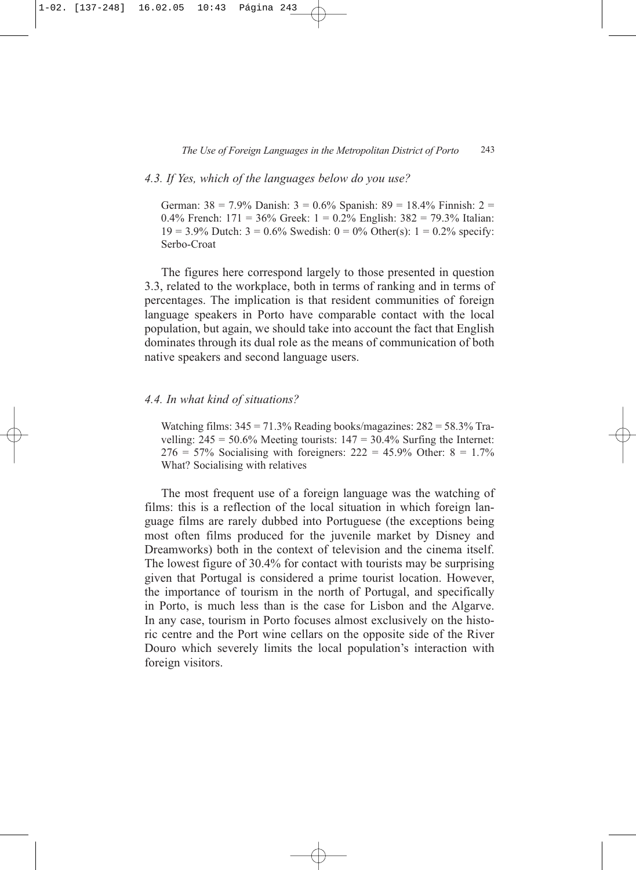#### *4.3. If Yes, which of the languages below do you use?*

German:  $38 = 7.9\%$  Danish:  $3 = 0.6\%$  Spanish:  $89 = 18.4\%$  Finnish:  $2 =$ 0.4% French:  $171 = 36\%$  Greek:  $1 = 0.2\%$  English:  $382 = 79.3\%$  Italian:  $19 = 3.9\%$  Dutch:  $3 = 0.6\%$  Swedish:  $0 = 0\%$  Other(s):  $1 = 0.2\%$  specify: Serbo-Croat

The figures here correspond largely to those presented in question 3.3, related to the workplace, both in terms of ranking and in terms of percentages. The implication is that resident communities of foreign language speakers in Porto have comparable contact with the local population, but again, we should take into account the fact that English dominates through its dual role as the means of communication of both native speakers and second language users.

#### *4.4. In what kind of situations?*

Watching films:  $345 = 71.3\%$  Reading books/magazines:  $282 = 58.3\%$  Travelling:  $245 = 50.6\%$  Meeting tourists:  $147 = 30.4\%$  Surfing the Internet:  $276 = 57\%$  Socialising with foreigners:  $222 = 45.9\%$  Other:  $8 = 1.7\%$ What? Socialising with relatives

The most frequent use of a foreign language was the watching of films: this is a reflection of the local situation in which foreign language films are rarely dubbed into Portuguese (the exceptions being most often films produced for the juvenile market by Disney and Dreamworks) both in the context of television and the cinema itself. The lowest figure of 30.4% for contact with tourists may be surprising given that Portugal is considered a prime tourist location. However, the importance of tourism in the north of Portugal, and specifically in Porto, is much less than is the case for Lisbon and the Algarve. In any case, tourism in Porto focuses almost exclusively on the historic centre and the Port wine cellars on the opposite side of the River Douro which severely limits the local population's interaction with foreign visitors.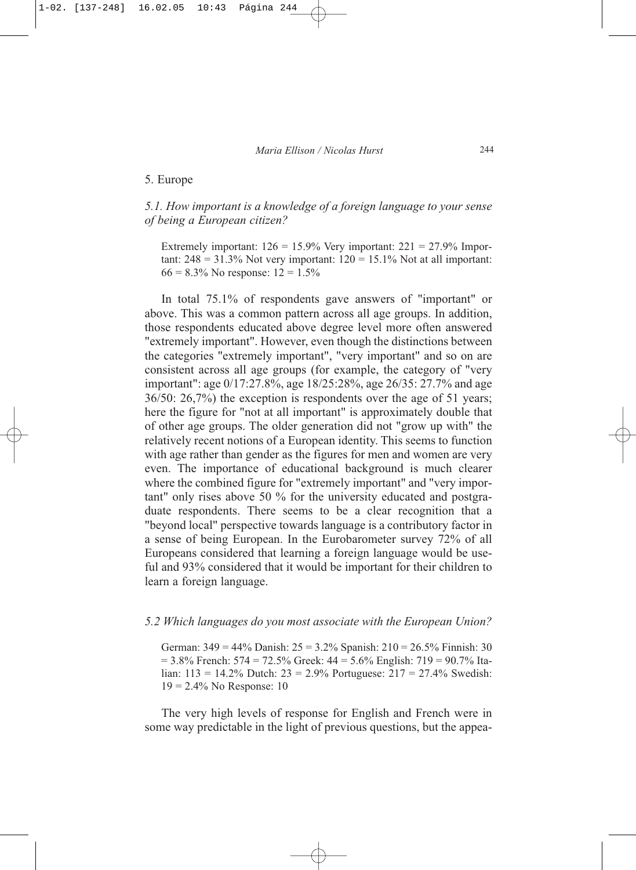#### 5. Europe

# *5.1. How important is a knowledge of a foreign language to your sense of being a European citizen?*

Extremely important:  $126 = 15.9\%$  Very important:  $221 = 27.9\%$  Important:  $248 = 31.3\%$  Not very important:  $120 = 15.1\%$  Not at all important:  $66 = 8.3\%$  No response:  $12 = 1.5\%$ 

In total 75.1% of respondents gave answers of "important" or above. This was a common pattern across all age groups. In addition, those respondents educated above degree level more often answered "extremely important". However, even though the distinctions between the categories "extremely important", "very important" and so on are consistent across all age groups (for example, the category of "very important": age 0/17:27.8%, age 18/25:28%, age 26/35: 27.7% and age 36/50: 26,7%) the exception is respondents over the age of 51 years; here the figure for "not at all important" is approximately double that of other age groups. The older generation did not "grow up with" the relatively recent notions of a European identity. This seems to function with age rather than gender as the figures for men and women are very even. The importance of educational background is much clearer where the combined figure for "extremely important" and "very important" only rises above 50 % for the university educated and postgraduate respondents. There seems to be a clear recognition that a "beyond local" perspective towards language is a contributory factor in a sense of being European. In the Eurobarometer survey 72% of all Europeans considered that learning a foreign language would be useful and 93% considered that it would be important for their children to learn a foreign language.

# *5.2 Which languages do you most associate with the European Union?*

German: 349 = 44% Danish: 25 = 3.2% Spanish: 210 = 26.5% Finnish: 30  $= 3.8\%$  French: 574 = 72.5% Greek: 44 = 5.6% English: 719 = 90.7% Italian: 113 = 14.2% Dutch: 23 = 2.9% Portuguese: 217 = 27.4% Swedish: 19 = 2.4% No Response: 10

The very high levels of response for English and French were in some way predictable in the light of previous questions, but the appea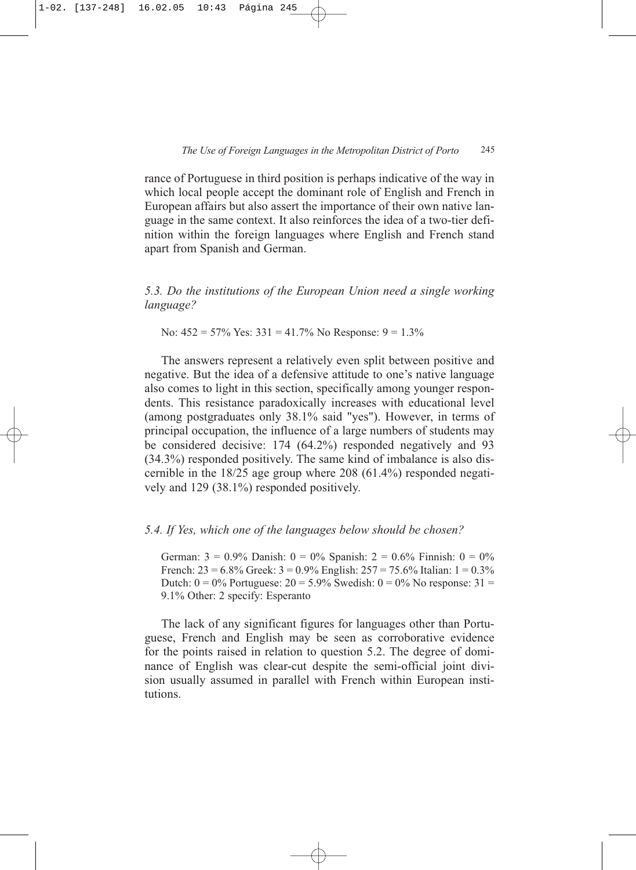rance of Portuguese in third position is perhaps indicative of the way in which local people accept the dominant role of English and French in European affairs but also assert the importance of their own native language in the same context. It also reinforces the idea of a two-tier definition within the foreign languages where English and French stand apart from Spanish and German.

*5.3. Do the institutions of the European Union need a single working language?*

No:  $452 = 57\%$  Yes:  $331 = 41.7\%$  No Response:  $9 = 1.3\%$ 

The answers represent a relatively even split between positive and negative. But the idea of a defensive attitude to one's native language also comes to light in this section, specifically among younger respondents. This resistance paradoxically increases with educational level (among postgraduates only 38.1% said "yes"). However, in terms of principal occupation, the influence of a large numbers of students may be considered decisive: 174 (64.2%) responded negatively and 93 (34.3%) responded positively. The same kind of imbalance is also discernible in the 18/25 age group where 208 (61.4%) responded negatively and 129 (38.1%) responded positively.

#### *5.4. If Yes, which one of the languages below should be chosen?*

German:  $3 = 0.9\%$  Danish:  $0 = 0\%$  Spanish:  $2 = 0.6\%$  Finnish:  $0 = 0\%$ French:  $23 = 6.8\%$  Greek:  $3 = 0.9\%$  English:  $257 = 75.6\%$  Italian:  $1 = 0.3\%$ Dutch:  $0 = 0\%$  Portuguese:  $20 = 5.9\%$  Swedish:  $0 = 0\%$  No response:  $31 =$ 9.1% Other: 2 specify: Esperanto

The lack of any significant figures for languages other than Portuguese, French and English may be seen as corroborative evidence for the points raised in relation to question 5.2. The degree of dominance of English was clear-cut despite the semi-official joint division usually assumed in parallel with French within European institutions.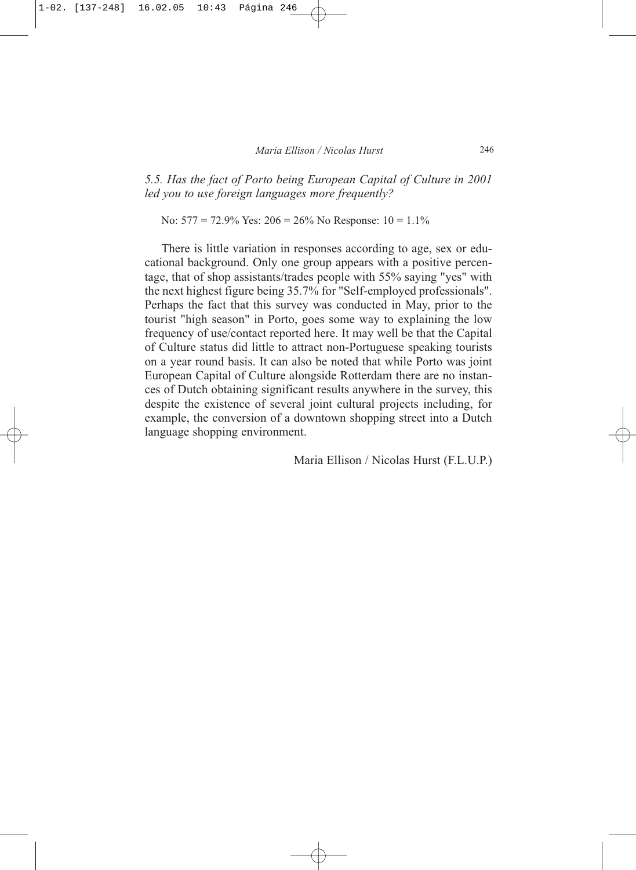*5.5. Has the fact of Porto being European Capital of Culture in 2001 led you to use foreign languages more frequently?*

No:  $577 = 72.9\%$  Yes:  $206 = 26\%$  No Response:  $10 = 1.1\%$ 

There is little variation in responses according to age, sex or educational background. Only one group appears with a positive percentage, that of shop assistants/trades people with 55% saying "yes" with the next highest figure being 35.7% for "Self-employed professionals". Perhaps the fact that this survey was conducted in May, prior to the tourist "high season" in Porto, goes some way to explaining the low frequency of use/contact reported here. It may well be that the Capital of Culture status did little to attract non-Portuguese speaking tourists on a year round basis. It can also be noted that while Porto was joint European Capital of Culture alongside Rotterdam there are no instances of Dutch obtaining significant results anywhere in the survey, this despite the existence of several joint cultural projects including, for example, the conversion of a downtown shopping street into a Dutch language shopping environment.

Maria Ellison / Nicolas Hurst (F.L.U.P.)